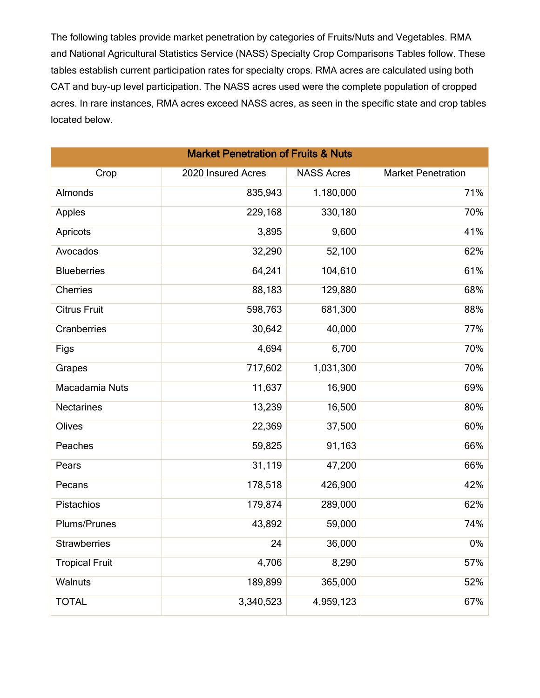The following tables provide market penetration by categories of Fruits/Nuts and Vegetables. RMA and National Agricultural Statistics Service (NASS) Specialty Crop Comparisons Tables follow. These tables establish current participation rates for specialty crops. RMA acres are calculated using both CAT and buy-up level participation. The NASS acres used were the complete population of cropped acres. In rare instances, RMA acres exceed NASS acres, as seen in the specific state and crop tables located below.

| <b>Market Penetration of Fruits &amp; Nuts</b> |                    |                   |                           |  |  |
|------------------------------------------------|--------------------|-------------------|---------------------------|--|--|
| Crop                                           | 2020 Insured Acres | <b>NASS Acres</b> | <b>Market Penetration</b> |  |  |
| Almonds                                        | 835,943            | 1,180,000         | 71%                       |  |  |
| Apples                                         | 229,168            | 330,180           | 70%                       |  |  |
| Apricots                                       | 3,895              | 9,600             | 41%                       |  |  |
| Avocados                                       | 32,290             | 52,100            | 62%                       |  |  |
| <b>Blueberries</b>                             | 64,241             | 104,610           | 61%                       |  |  |
| <b>Cherries</b>                                | 88,183             | 129,880           | 68%                       |  |  |
| <b>Citrus Fruit</b>                            | 598,763            | 681,300           | 88%                       |  |  |
| Cranberries                                    | 30,642             | 40,000            | 77%                       |  |  |
| Figs                                           | 4,694              | 6,700             | 70%                       |  |  |
| Grapes                                         | 717,602            | 1,031,300         | 70%                       |  |  |
| Macadamia Nuts                                 | 11,637             | 16,900            | 69%                       |  |  |
| <b>Nectarines</b>                              | 13,239             | 16,500            | 80%                       |  |  |
| Olives                                         | 22,369             | 37,500            | 60%                       |  |  |
| Peaches                                        | 59,825             | 91,163            | 66%                       |  |  |
| Pears                                          | 31,119             | 47,200            | 66%                       |  |  |
| Pecans                                         | 178,518            | 426,900           | 42%                       |  |  |
| Pistachios                                     | 179,874            | 289,000           | 62%                       |  |  |
| Plums/Prunes                                   | 43,892             | 59,000            | 74%                       |  |  |
| <b>Strawberries</b>                            | 24                 | 36,000            | $0\%$                     |  |  |
| <b>Tropical Fruit</b>                          | 4,706              | 8,290             | 57%                       |  |  |
| Walnuts                                        | 189,899            | 365,000           | 52%                       |  |  |
| <b>TOTAL</b>                                   | 3,340,523          | 4,959,123         | 67%                       |  |  |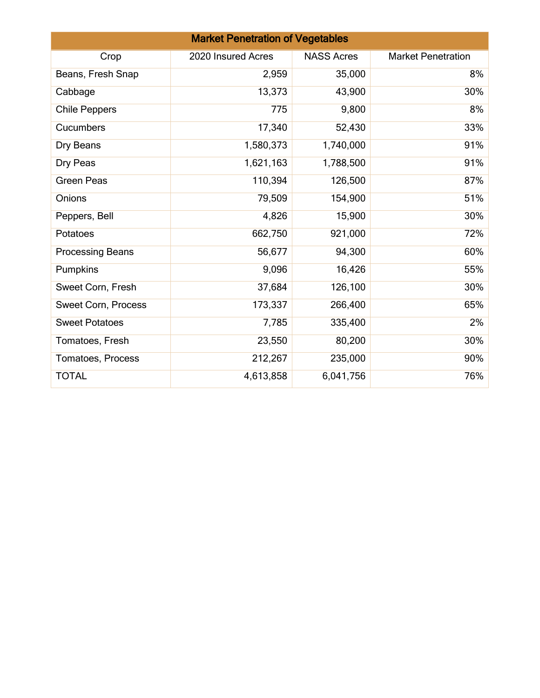|                         | <b>Market Penetration of Vegetables</b> |                   |                           |
|-------------------------|-----------------------------------------|-------------------|---------------------------|
| Crop                    | 2020 Insured Acres                      | <b>NASS Acres</b> | <b>Market Penetration</b> |
| Beans, Fresh Snap       | 2,959                                   | 35,000            | 8%                        |
| Cabbage                 | 13,373                                  | 43,900            | 30%                       |
| <b>Chile Peppers</b>    | 775                                     | 9,800             | 8%                        |
| Cucumbers               | 17,340                                  | 52,430            | 33%                       |
| Dry Beans               | 1,580,373                               | 1,740,000         | 91%                       |
| Dry Peas                | 1,621,163                               | 1,788,500         | 91%                       |
| <b>Green Peas</b>       | 110,394                                 | 126,500           | 87%                       |
| Onions                  | 79,509                                  | 154,900           | 51%                       |
| Peppers, Bell           | 4,826                                   | 15,900            | 30%                       |
| Potatoes                | 662,750                                 | 921,000           | 72%                       |
| <b>Processing Beans</b> | 56,677                                  | 94,300            | 60%                       |
| Pumpkins                | 9,096                                   | 16,426            | 55%                       |
| Sweet Corn, Fresh       | 37,684                                  | 126,100           | 30%                       |
| Sweet Corn, Process     | 173,337                                 | 266,400           | 65%                       |
| <b>Sweet Potatoes</b>   | 7,785                                   | 335,400           | 2%                        |
| Tomatoes, Fresh         | 23,550                                  | 80,200            | 30%                       |
| Tomatoes, Process       | 212,267                                 | 235,000           | 90%                       |
| <b>TOTAL</b>            | 4,613,858                               | 6,041,756         | 76%                       |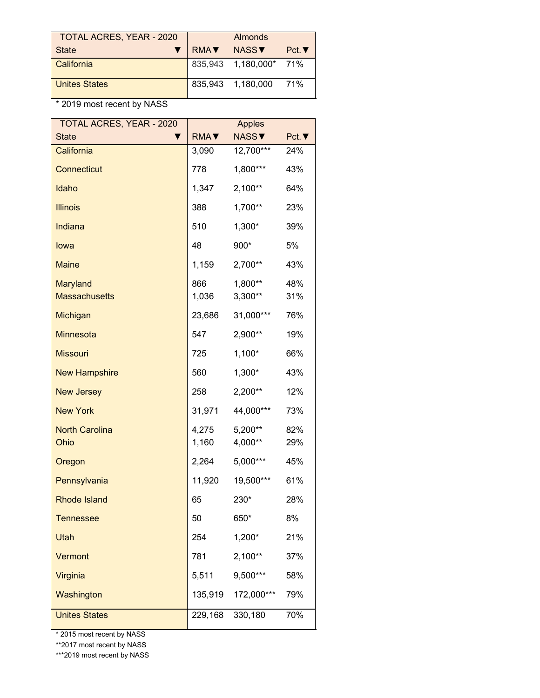| TOTAL ACRES, YEAR - 2020 | Almonds |                        |              |
|--------------------------|---------|------------------------|--------------|
| <b>State</b>             | RMA     | NASS <b>V</b>          | $Pct.\nabla$ |
| California               |         | 835,943 1,180,000* 71% |              |
| <b>Unites States</b>     |         | 835,943 1,180,000      | 71%          |

| <b>TOTAL ACRES, YEAR - 2020</b>         |                | <b>Apples</b>        |              |
|-----------------------------------------|----------------|----------------------|--------------|
| <b>State</b>                            | RMA <b>V</b>   | <b>NASS▼</b>         | $Pct.\nabla$ |
| California                              | 3,090          | 12,700***            | 24%          |
| <b>Connecticut</b>                      | 778            | 1,800***             | 43%          |
| Idaho                                   | 1,347          | $2,100**$            | 64%          |
| <b>Illinois</b>                         | 388            | 1,700**              | 23%          |
| Indiana                                 | 510            | 1,300*               | 39%          |
| lowa                                    | 48             | 900*                 | 5%           |
| <b>Maine</b>                            | 1,159          | 2,700**              | 43%          |
| <b>Maryland</b><br><b>Massachusetts</b> | 866<br>1,036   | 1,800**<br>$3,300**$ | 48%<br>31%   |
| Michigan                                | 23,686         | 31,000***            | 76%          |
| <b>Minnesota</b>                        | 547            | 2,900**              | 19%          |
| <b>Missouri</b>                         | 725            | $1,100*$             | 66%          |
| <b>New Hampshire</b>                    | 560            | 1,300*               | 43%          |
| <b>New Jersey</b>                       | 258            | 2,200**              | 12%          |
| <b>New York</b>                         | 31,971         | 44,000***            | 73%          |
| <b>North Carolina</b><br>Ohio           | 4,275<br>1,160 | 5,200**<br>4,000**   | 82%<br>29%   |
| Oregon                                  | 2,264          | 5,000***             | 45%          |
| Pennsylvania                            | 11,920         | 19,500***            | 61%          |
| <b>Rhode Island</b>                     | 65             | 230*                 | 28%          |
| <b>Tennessee</b>                        | 50             | 650*                 | 8%           |
| Utah                                    | 254            | 1,200*               | 21%          |
| Vermont                                 | 781            | $2,100**$            | 37%          |
| Virginia                                | 5,511          | 9,500***             | 58%          |
| Washington                              | 135,919        | 172,000***           | 79%          |
| <b>Unites States</b>                    | 229,168        | 330,180              | 70%          |

\* 2015 most recent by NASS

\*\*2017 most recent by NASS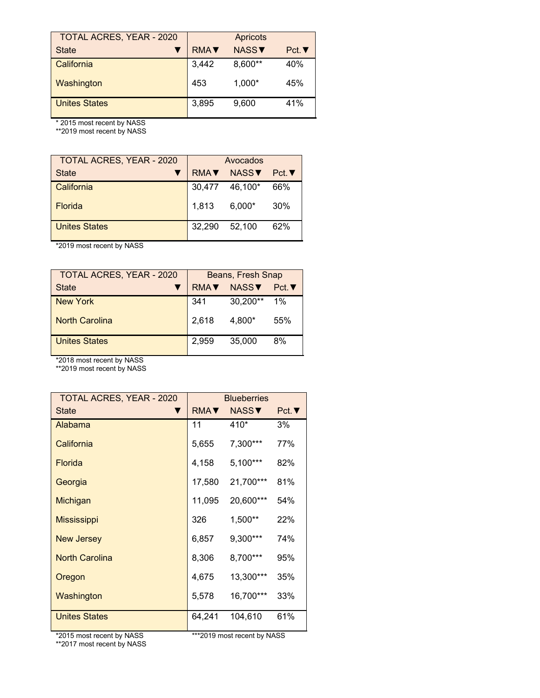| <b>TOTAL ACRES, YEAR - 2020</b> | <b>Apricots</b> |                   |      |
|---------------------------------|-----------------|-------------------|------|
| <b>State</b>                    | <b>RMAV</b>     | NASS <sup>V</sup> | Pct. |
| California                      | 3,442           | 8,600**           | 40%  |
| Washington                      | 453             | 1,000*            | 45%  |
| <b>Unites States</b>            | 3,895           | 9,600             | 41%  |

\*\*2019 most recent by NASS

| <b>TOTAL ACRES, YEAR - 2020</b> | Avocados     |              |       |
|---------------------------------|--------------|--------------|-------|
| <b>State</b>                    | RMA <b>V</b> | <b>NASSV</b> | Pct.▼ |
| California                      | 30,477       | 46,100*      | 66%   |
| <b>Florida</b>                  | 1,813        | $6,000*$     | 30%   |
| <b>Unites States</b>            | 32,290       | 52.100       | 62%   |

\*2019 most recent by NASS

| <b>TOTAL ACRES, YEAR - 2020</b> | Beans, Fresh Snap |          |       |
|---------------------------------|-------------------|----------|-------|
| <b>State</b>                    | <b>RMA</b>        | NASSV    | Pct.  |
| New York                        | 341               | 30,200** | $1\%$ |
| <b>North Carolina</b>           | 2.618             | 4.800*   | 55%   |
| <b>Unites States</b>            | 2.959             | 35,000   | 8%    |

\*2018 most recent by NASS

\*\*2019 most recent by NASS

| <b>TOTAL ACRES, YEAR - 2020</b> | <b>Blueberries</b>         |            |              |
|---------------------------------|----------------------------|------------|--------------|
| <b>State</b>                    | $RMA$ $\blacktriangledown$ | NASS▼      | $Pct.\nabla$ |
| Alabama                         | 11                         | 410*       | 3%           |
| California                      | 5,655                      | 7,300***   | 77%          |
| Florida                         | 4,158                      | $5,100***$ | 82%          |
| Georgia                         | 17,580                     | 21,700***  | 81%          |
| Michigan                        | 11,095                     | 20,600***  | 54%          |
| <b>Mississippi</b>              | 326                        | 1,500**    | 22%          |
| <b>New Jersey</b>               | 6,857                      | $9,300***$ | 74%          |
| <b>North Carolina</b>           | 8,306                      | 8,700***   | 95%          |
| Oregon                          | 4,675                      | 13,300***  | 35%          |
| Washington                      | 5,578                      | 16,700***  | 33%          |
| <b>Unites States</b>            | 64,241                     | 104,610    | 61%          |

\*\*2017 most recent by NASS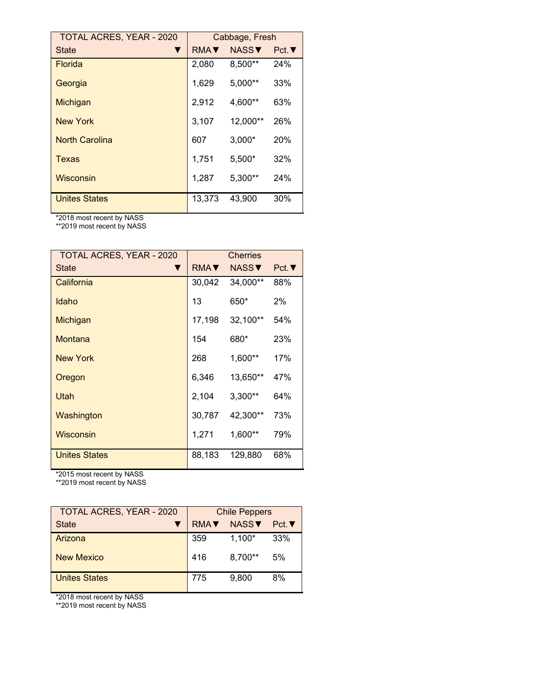| <b>TOTAL ACRES, YEAR - 2020</b> | Cabbage, Fresh |              |              |
|---------------------------------|----------------|--------------|--------------|
| State                           | <b>RMAV</b>    | <b>NASS▼</b> | $Pct.\nabla$ |
| <b>Florida</b>                  | 2,080          | 8,500**      | 24%          |
| Georgia                         | 1,629          | 5,000**      | 33%          |
| Michigan                        | 2,912          | 4,600**      | 63%          |
| <b>New York</b>                 | 3,107          | 12,000**     | 26%          |
| <b>North Carolina</b>           | 607            | $3,000*$     | 20%          |
| Texas                           | 1,751          | 5,500*       | 32%          |
| Wisconsin                       | 1,287          | $5,300**$    | 24%          |
| <b>Unites States</b>            | 13.373         | 43.900       | 30%          |

\*\*2019 most recent by NASS

| <b>TOTAL ACRES, YEAR - 2020</b> | <b>Cherries</b>            |               |              |
|---------------------------------|----------------------------|---------------|--------------|
| <b>State</b>                    | $RMA$ $\blacktriangledown$ | NASS <b>V</b> | $Pct.\nabla$ |
| California                      | 30,042                     | 34,000**      | 88%          |
| Idaho                           | 13                         | 650*          | 2%           |
| Michigan                        | 17,198                     | 32,100**      | 54%          |
| Montana                         | 154                        | 680*          | 23%          |
| <b>New York</b>                 | 268                        | $1,600**$     | 17%          |
| Oregon                          | 6,346                      | 13,650**      | 47%          |
| Utah                            | 2,104                      | $3,300**$     | 64%          |
| Washington                      | 30,787                     | 42,300**      | 73%          |
| Wisconsin                       | 1,271                      | $1,600**$     | 79%          |
| <b>Unites States</b>            | 88,183                     | 129,880       | 68%          |

\*2015 most recent by NASS

\*\*2019 most recent by NASS

| <b>TOTAL ACRES, YEAR - 2020</b> | <b>Chile Peppers</b>                     |          |     |
|---------------------------------|------------------------------------------|----------|-----|
| <b>State</b>                    | NASS <sub>V</sub><br>Pct.<br><b>RMAV</b> |          |     |
| Arizona                         | 359                                      | $1,100*$ | 33% |
| New Mexico                      | 416                                      | 8,700**  | 5%  |
| <b>Unites States</b>            | 775                                      | 9.800    | 8%  |
|                                 |                                          |          |     |

\*2018 most recent by NASS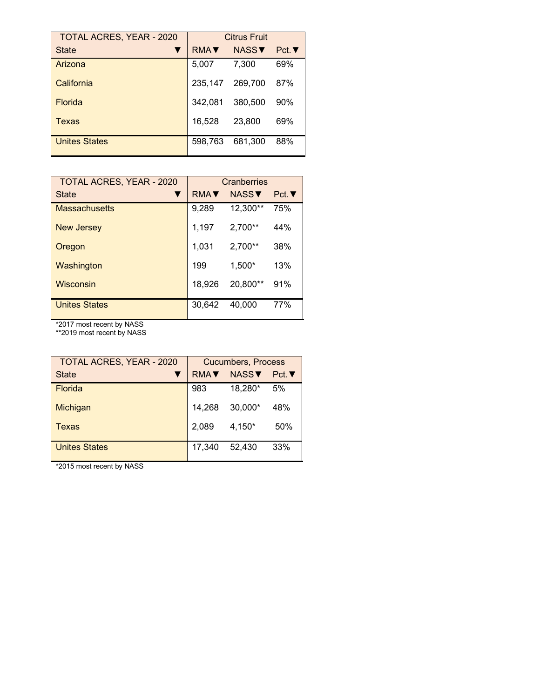| <b>TOTAL ACRES, YEAR - 2020</b> | <b>Citrus Fruit</b> |              |              |
|---------------------------------|---------------------|--------------|--------------|
| <b>State</b>                    | <b>RMAV</b>         | <b>NASS▼</b> | $Pct.\nabla$ |
| Arizona                         | 5,007               | 7,300        | 69%          |
| California                      | 235.147             | 269,700      | 87%          |
| <b>Florida</b>                  | 342,081             | 380,500      | 90%          |
| Texas                           | 16,528              | 23,800       | 69%          |
| <b>Unites States</b>            | 598.763             | 681,300      | 88%          |

| <b>TOTAL ACRES, YEAR - 2020</b> | Cranberries |               |      |
|---------------------------------|-------------|---------------|------|
| <b>State</b>                    | <b>RMAV</b> | NASS <b>V</b> | Pct. |
| <b>Massachusetts</b>            | 9,289       | 12,300**      | 75%  |
| New Jersey                      | 1,197       | $2,700**$     | 44%  |
| Oregon                          | 1,031       | $2,700**$     | 38%  |
| Washington                      | 199         | $1,500*$      | 13%  |
| Wisconsin                       | 18,926      | 20,800**      | 91%  |
| Unites States                   | 30.642      | 40.000        | 77%  |

\*\*2019 most recent by NASS

| <b>TOTAL ACRES, YEAR - 2020</b> | <b>Cucumbers, Process</b> |                   |      |
|---------------------------------|---------------------------|-------------------|------|
| <b>State</b>                    | <b>RMAV</b>               | NASS <sup>V</sup> | Pct. |
| <b>Florida</b>                  | 983                       | 18,280*           | 5%   |
| Michigan                        | 14,268                    | $30,000*$         | 48%  |
| Texas                           | 2,089                     | 4,150*            | 50%  |
| <b>Unites States</b>            | 17,340                    | 52,430            | 33%  |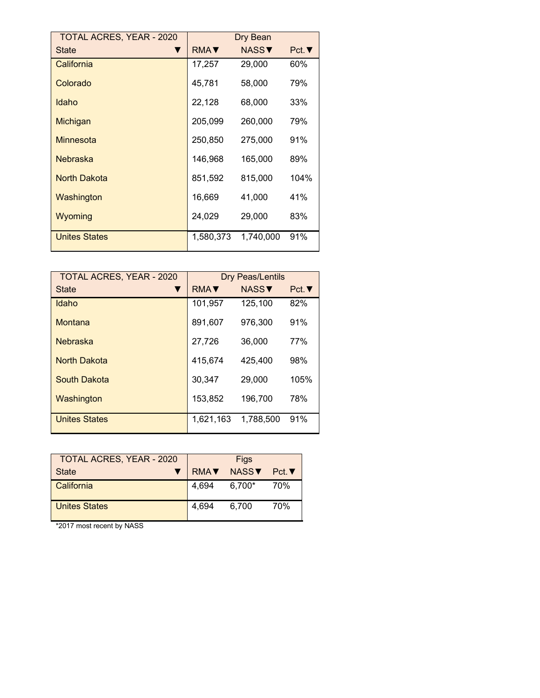| <b>TOTAL ACRES, YEAR - 2020</b> | Dry Bean                   |              |      |
|---------------------------------|----------------------------|--------------|------|
| <b>State</b>                    | $RMA$ $\blacktriangledown$ | <b>NASS▼</b> | Pct. |
| California                      | 17,257                     | 29,000       | 60%  |
| Colorado                        | 45,781                     | 58,000       | 79%  |
| Idaho                           | 22,128                     | 68,000       | 33%  |
| Michigan                        | 205,099                    | 260,000      | 79%  |
| Minnesota                       | 250,850                    | 275,000      | 91%  |
| Nebraska                        | 146,968                    | 165,000      | 89%  |
| <b>North Dakota</b>             | 851,592                    | 815,000      | 104% |
| Washington                      | 16,669                     | 41,000       | 41%  |
| Wyoming                         | 24,029                     | 29,000       | 83%  |
| <b>Unites States</b>            | 1,580,373                  | 1,740,000    | 91%  |

| <b>TOTAL ACRES, YEAR - 2020</b> | <b>Dry Peas/Lentils</b> |              |              |
|---------------------------------|-------------------------|--------------|--------------|
| <b>State</b>                    | <b>RMAV</b>             | <b>NASS▼</b> | $Pct.\nabla$ |
| Idaho                           | 101,957                 | 125.100      | 82%          |
| Montana                         | 891,607                 | 976,300      | 91%          |
| <b>Nebraska</b>                 | 27,726                  | 36,000       | 77%          |
| <b>North Dakota</b>             | 415,674                 | 425,400      | 98%          |
| South Dakota                    | 30,347                  | 29,000       | 105%         |
| Washington                      | 153,852                 | 196,700      | 78%          |
| <b>Unites States</b>            | 1,621,163               | 1,788,500    | 91%          |

| <b>TOTAL ACRES, YEAR - 2020</b> |                  | Figs          |              |
|---------------------------------|------------------|---------------|--------------|
| <b>State</b>                    | RMA <sub>V</sub> | NASS <b>V</b> | $Pct.\nabla$ |
| California                      | 4.694            | 6.700*        | 70%          |
| <b>Unites States</b>            | 4.694            | 6.700         | 70%          |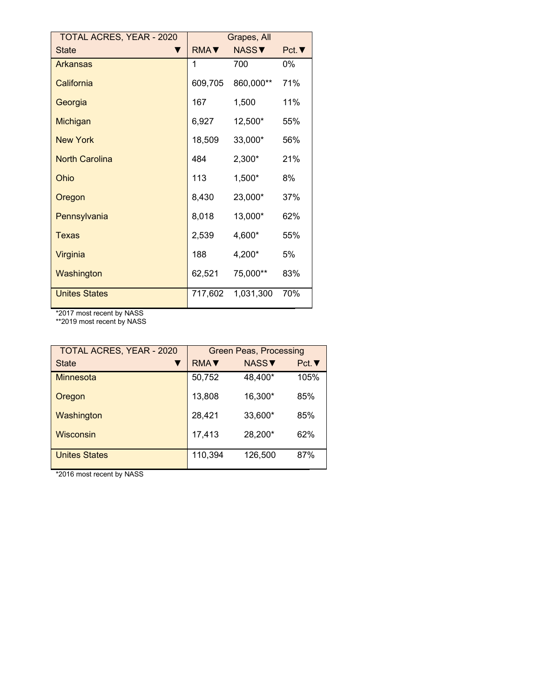| <b>TOTAL ACRES, YEAR - 2020</b> | Grapes, All                |              |              |
|---------------------------------|----------------------------|--------------|--------------|
| <b>State</b>                    | $RMA$ $\blacktriangledown$ | <b>NASS▼</b> | $Pct.\nabla$ |
| <b>Arkansas</b>                 | 1                          | 700          | 0%           |
| California                      | 609,705                    | 860,000**    | 71%          |
| Georgia                         | 167                        | 1,500        | 11%          |
| Michigan                        | 6,927                      | 12,500*      | 55%          |
| <b>New York</b>                 | 18,509                     | 33,000*      | 56%          |
| <b>North Carolina</b>           | 484                        | 2,300*       | 21%          |
| Ohio                            | 113                        | 1,500*       | 8%           |
| Oregon                          | 8,430                      | 23,000*      | 37%          |
| Pennsylvania                    | 8,018                      | 13,000*      | 62%          |
| <b>Texas</b>                    | 2,539                      | 4,600*       | 55%          |
| Virginia                        | 188                        | 4,200*       | 5%           |
| Washington                      | 62,521                     | 75,000**     | 83%          |
| <b>Unites States</b>            | 717,602                    | 1,031,300    | 70%          |

\*\*2019 most recent by NASS

| <b>TOTAL ACRES, YEAR - 2020</b> | <b>Green Peas, Processing</b> |              |              |  |
|---------------------------------|-------------------------------|--------------|--------------|--|
| <b>State</b><br>▼               | <b>RMAV</b>                   | <b>NASS▼</b> | $Pct.\nabla$ |  |
| Minnesota                       | 50,752                        | 48,400*      | 105%         |  |
| Oregon                          | 13,808                        | 16,300*      | 85%          |  |
| Washington                      | 28,421                        | 33,600*      | 85%          |  |
| Wisconsin                       | 17,413                        | 28,200*      | 62%          |  |
| <b>Unites States</b>            | 110,394                       | 126,500      | 87%          |  |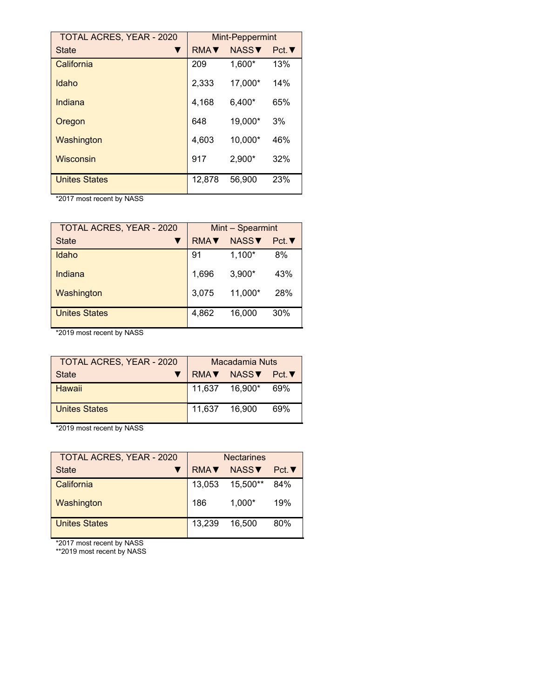| <b>TOTAL ACRES, YEAR - 2020</b> | <b>Mint-Peppermint</b> |                   |              |
|---------------------------------|------------------------|-------------------|--------------|
| <b>State</b>                    | <b>RMAV</b>            | NASS <sup>V</sup> | $Pct.\nabla$ |
| California                      | 209                    | 1,600*            | 13%          |
| Idaho                           | 2,333                  | 17,000*           | 14%          |
| Indiana                         | 4,168                  | $6,400*$          | 65%          |
| Oregon                          | 648                    | 19,000*           | 3%           |
| Washington                      | 4,603                  | 10,000*           | 46%          |
| Wisconsin                       | 917                    | 2,900*            | 32%          |
| <b>Unites States</b>            | 12,878                 | 56,900            | 23%          |

| <b>TOTAL ACRES, YEAR - 2020</b> | Mint - Spearmint |          |      |
|---------------------------------|------------------|----------|------|
| <b>State</b>                    | <b>RMA</b>       | NASSV    | Pct. |
| Idaho                           | 91               | $1,100*$ | 8%   |
| Indiana                         | 1,696            | $3,900*$ | 43%  |
| Washington                      | 3,075            | 11,000*  | 28%  |
| <b>Unites States</b>            | 4,862            | 16,000   | 30%  |

\*2019 most recent by NASS

| <b>TOTAL ACRES, YEAR - 2020</b> | Macadamia Nuts |                  |     |
|---------------------------------|----------------|------------------|-----|
| State                           |                | RMAV NASSV Pct.V |     |
| Hawaii                          |                | 11,637 16,900*   | 69% |
| Unites States                   | 11,637 16,900  |                  | 69% |

\*2019 most recent by NASS

| <b>TOTAL ACRES, YEAR - 2020</b> | <b>Nectarines</b> |                   |      |
|---------------------------------|-------------------|-------------------|------|
| <b>State</b>                    | <b>RMAV</b>       | NASS <sup>V</sup> | Pct. |
| California                      | 13,053            | 15,500**          | 84%  |
| Washington                      | 186               | $1.000*$          | 19%  |
| <b>Unites States</b>            | 13,239            | 16.500            | 80%  |

\*2017 most recent by NASS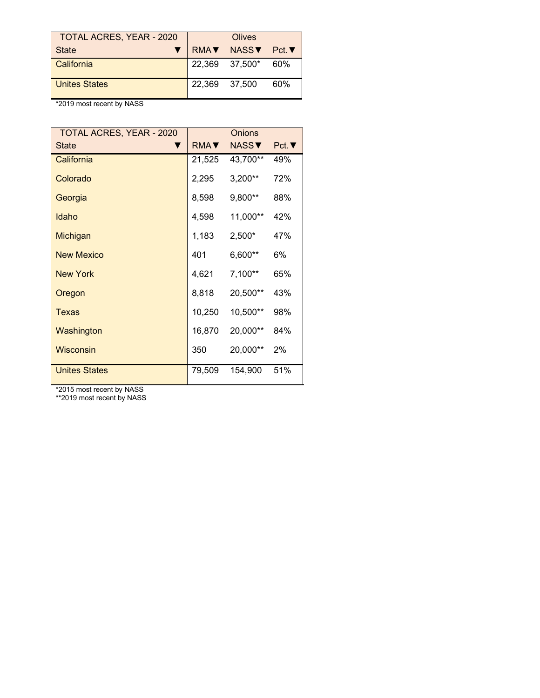| <b>TOTAL ACRES, YEAR - 2020</b> |                            | Olives         |        |
|---------------------------------|----------------------------|----------------|--------|
| <b>State</b>                    | $RMA$ $\blacktriangledown$ | NASS▼          | Pct. ▼ |
| California                      |                            | 22,369 37,500* | 60%    |
| <b>Unites States</b>            | 22.369 37.500              |                | 60%    |

| TOTAL ACRES, YEAR - 2020 |        | Onions       |      |
|--------------------------|--------|--------------|------|
| <b>State</b>             | RMA    | <b>NASS▼</b> | Pct. |
| California               | 21,525 | 43,700**     | 49%  |
| Colorado                 | 2,295  | $3,200**$    | 72%  |
| Georgia                  | 8,598  | 9,800**      | 88%  |
| Idaho                    | 4,598  | 11,000**     | 42%  |
| Michigan                 | 1,183  | 2,500*       | 47%  |
| <b>New Mexico</b>        | 401    | 6,600**      | 6%   |
| <b>New York</b>          | 4,621  | $7,100**$    | 65%  |
| Oregon                   | 8,818  | 20,500**     | 43%  |
| Texas                    | 10,250 | 10,500**     | 98%  |
| Washington               | 16,870 | 20,000**     | 84%  |
| Wisconsin                | 350    | 20,000**     | 2%   |
| <b>Unites States</b>     | 79,509 | 154,900      | 51%  |

\*2015 most recent by NASS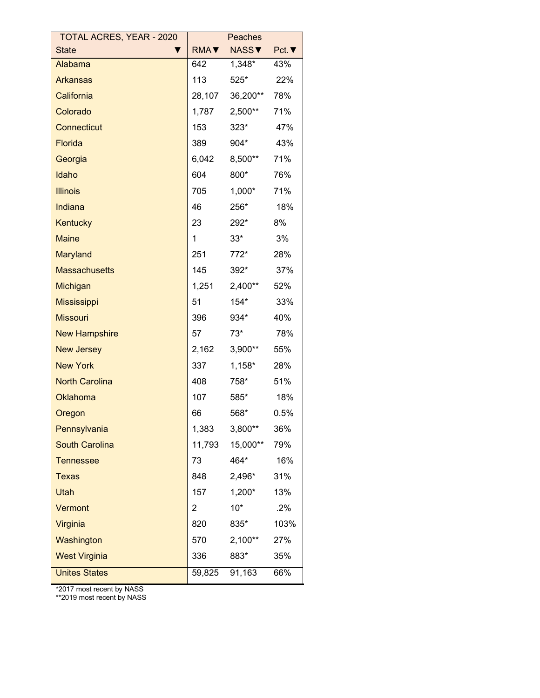| TOTAL ACRES, YEAR - 2020 |             | Peaches   |      |
|--------------------------|-------------|-----------|------|
| <b>State</b><br>▼        | <b>RMA▼</b> | NASS▼     | Pct. |
| Alabama                  | 642         | $1,348^*$ | 43%  |
| <b>Arkansas</b>          | 113         | $525*$    | 22%  |
| California               | 28,107      | 36,200**  | 78%  |
| Colorado                 | 1,787       | $2,500**$ | 71%  |
| <b>Connecticut</b>       | 153         | $323*$    | 47%  |
| <b>Florida</b>           | 389         | 904*      | 43%  |
| Georgia                  | 6,042       | 8,500**   | 71%  |
| Idaho                    | 604         | 800*      | 76%  |
| <b>Illinois</b>          | 705         | $1,000^*$ | 71%  |
| Indiana                  | 46          | 256*      | 18%  |
| Kentucky                 | 23          | 292*      | 8%   |
| <b>Maine</b>             | 1           | $33^*$    | 3%   |
| <b>Maryland</b>          | 251         | 772*      | 28%  |
| <b>Massachusetts</b>     | 145         | $392*$    | 37%  |
| Michigan                 | 1,251       | 2,400**   | 52%  |
| <b>Mississippi</b>       | 51          | $154*$    | 33%  |
| <b>Missouri</b>          | 396         | 934*      | 40%  |
| <b>New Hampshire</b>     | 57          | $73^*$    | 78%  |
| <b>New Jersey</b>        | 2,162       | $3,900**$ | 55%  |
| <b>New York</b>          | 337         | $1,158^*$ | 28%  |
| <b>North Carolina</b>    | 408         | 758*      | 51%  |
| Oklahoma                 | 107         | 585*      | 18%  |
| Oregon                   | 66          | 568*      | 0.5% |
| Pennsylvania             | 1,383       | $3,800**$ | 36%  |
| <b>South Carolina</b>    | 11,793      | 15,000**  | 79%  |
| <b>Tennessee</b>         | 73          | 464*      | 16%  |
| <b>Texas</b>             | 848         | 2,496*    | 31%  |
| Utah                     | 157         | $1,200*$  | 13%  |
| Vermont                  | 2           | $10*$     | .2%  |
| Virginia                 | 820         | 835*      | 103% |
| Washington               | 570         | $2,100**$ | 27%  |
| <b>West Virginia</b>     | 336         | 883*      | 35%  |
| <b>Unites States</b>     | 59,825      | 91,163    | 66%  |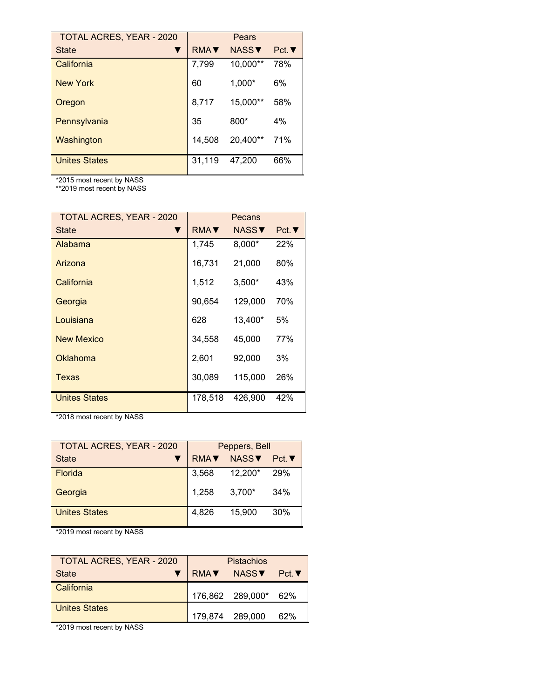| <b>TOTAL ACRES, YEAR - 2020</b> |             | Pears        |              |
|---------------------------------|-------------|--------------|--------------|
| <b>State</b>                    | <b>RMAV</b> | <b>NASS▼</b> | $Pct.\nabla$ |
| California                      | 7,799       | 10,000**     | 78%          |
| New York                        | 60          | $1,000*$     | 6%           |
| Oregon                          | 8,717       | 15,000**     | 58%          |
| Pennsylvania                    | 35          | $800*$       | 4%           |
| Washington                      | 14,508      | 20,400**     | 71%          |
| <b>Unites States</b>            | 31,119      | 47,200       | 66%          |

\*\*2019 most recent by NASS

| <b>TOTAL ACRES, YEAR - 2020</b> | Pecans      |              |      |
|---------------------------------|-------------|--------------|------|
| <b>State</b>                    | <b>RMA▼</b> | <b>NASS▼</b> | Pct. |
| Alabama                         | 1,745       | 8,000*       | 22%  |
| Arizona                         | 16,731      | 21,000       | 80%  |
| California                      | 1,512       | $3,500*$     | 43%  |
| Georgia                         | 90,654      | 129,000      | 70%  |
| Louisiana                       | 628         | 13,400*      | 5%   |
| <b>New Mexico</b>               | 34,558      | 45,000       | 77%  |
| Oklahoma                        | 2,601       | 92,000       | 3%   |
| Texas                           | 30,089      | 115,000      | 26%  |
| <b>Unites States</b>            | 178.518     | 426,900      | 42%  |

\*2018 most recent by NASS

| <b>TOTAL ACRES, YEAR - 2020</b> | Peppers, Bell |          |      |
|---------------------------------|---------------|----------|------|
| <b>State</b>                    | <b>RMAV</b>   | NASSV    | Pct. |
| <b>Florida</b>                  | 3,568         | 12,200*  | 29%  |
| Georgia                         | 1,258         | $3,700*$ | 34%  |
| <b>Unites States</b>            | 4.826         | 15.900   | 30%  |

\*2019 most recent by NASS

| TOTAL ACRES, YEAR - 2020 | Pistachios |                      |              |
|--------------------------|------------|----------------------|--------------|
| State                    | RMA▼       | NASS▼                | $Pct.\nabla$ |
| California               |            | 176,862 289,000* 62% |              |
| Unites States            |            | 179.874 289.000      | 62%          |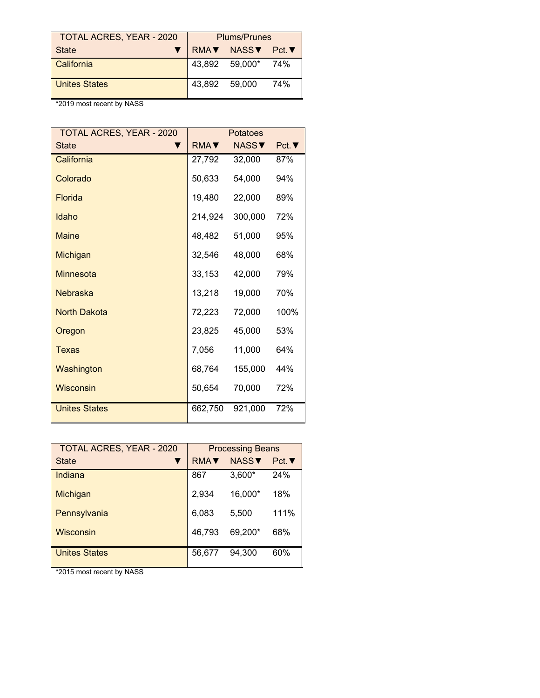| <b>TOTAL ACRES, YEAR - 2020</b> | <b>Plums/Prunes</b> |                    |     |
|---------------------------------|---------------------|--------------------|-----|
| <b>State</b>                    |                     | RMAV NASSV Pct.V   |     |
| California                      |                     | 43,892 59,000* 74% |     |
| <b>Unites States</b>            | 43,892 59,000       |                    | 74% |

| <b>TOTAL ACRES, YEAR - 2020</b> | <b>Potatoes</b>            |              |              |  |
|---------------------------------|----------------------------|--------------|--------------|--|
| <b>State</b>                    | $RMA$ $\blacktriangledown$ | <b>NASS▼</b> | $Pct.\nabla$ |  |
| California                      | 27,792                     | 32,000       | 87%          |  |
| Colorado                        | 50,633                     | 54,000       | 94%          |  |
| Florida                         | 19,480                     | 22,000       | 89%          |  |
| Idaho                           | 214,924                    | 300,000      | 72%          |  |
| <b>Maine</b>                    | 48,482                     | 51,000       | 95%          |  |
| <b>Michigan</b>                 | 32,546                     | 48,000       | 68%          |  |
| Minnesota                       | 33,153                     | 42,000       | 79%          |  |
| <b>Nebraska</b>                 | 13,218                     | 19,000       | 70%          |  |
| <b>North Dakota</b>             | 72,223                     | 72,000       | 100%         |  |
| Oregon                          | 23,825                     | 45,000       | 53%          |  |
| Texas                           | 7,056                      | 11,000       | 64%          |  |
| Washington                      | 68,764                     | 155,000      | 44%          |  |
| <b>Wisconsin</b>                | 50,654                     | 70,000       | 72%          |  |
| <b>Unites States</b>            | 662,750                    | 921,000      | 72%          |  |

| <b>TOTAL ACRES, YEAR - 2020</b> | <b>Processing Beans</b> |          |              |
|---------------------------------|-------------------------|----------|--------------|
| <b>State</b>                    | <b>RMAV</b>             | NASSV    | $Pct.\nabla$ |
| Indiana                         | 867                     | $3,600*$ | 24%          |
| Michigan                        | 2,934                   | 16,000*  | 18%          |
| Pennsylvania                    | 6,083                   | 5,500    | 111%         |
| Wisconsin                       | 46,793                  | 69,200*  | 68%          |
| <b>Unites States</b>            | 56.677                  | 94.300   | 60%          |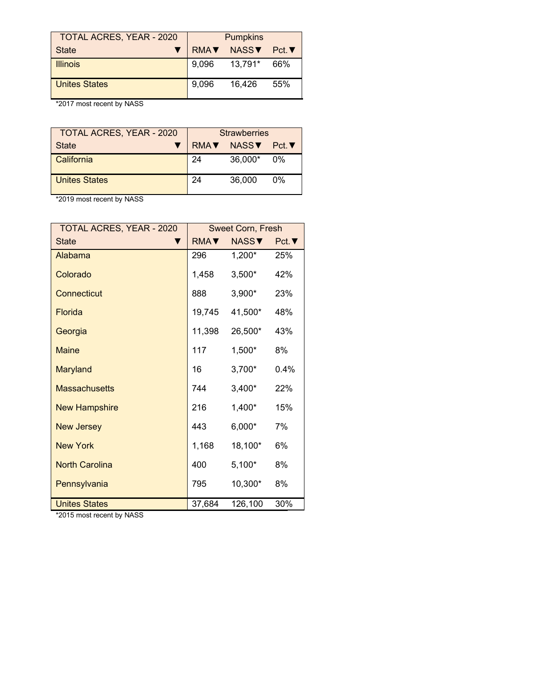| <b>TOTAL ACRES, YEAR - 2020</b> | <b>Pumpkins</b> |               |       |
|---------------------------------|-----------------|---------------|-------|
| <b>State</b>                    | RMA             | NASS <b>V</b> | Pct.▼ |
| <b>Illinois</b>                 | 9.096           | 13,791*       | 66%   |
| <b>Unites States</b>            | 9.096           | 16.426        | 55%   |

| <b>TOTAL ACRES, YEAR - 2020</b> | <b>Strawberries</b> |                   |          |
|---------------------------------|---------------------|-------------------|----------|
| <b>State</b>                    | RMA                 | NASS <sub>V</sub> | — Pct. ▼ |
| California                      | 24                  | 36,000*           | $0\%$    |
| <b>Unites States</b>            | 24                  | 36,000            | $0\%$    |

\*2019 most recent by NASS

| <b>TOTAL ACRES, YEAR - 2020</b> | <b>Sweet Corn, Fresh</b> |              |              |
|---------------------------------|--------------------------|--------------|--------------|
| <b>State</b>                    | RMA <b>V</b>             | <b>NASS▼</b> | $Pct.\nabla$ |
| Alabama                         | 296                      | 1,200*       | 25%          |
| Colorado                        | 1,458                    | $3,500*$     | 42%          |
| Connecticut                     | 888                      | 3,900*       | 23%          |
| Florida                         | 19,745                   | 41,500*      | 48%          |
| Georgia                         | 11,398                   | 26,500*      | 43%          |
| <b>Maine</b>                    | 117                      | 1,500*       | 8%           |
| <b>Maryland</b>                 | 16                       | $3,700*$     | 0.4%         |
| <b>Massachusetts</b>            | 744                      | $3,400*$     | 22%          |
| <b>New Hampshire</b>            | 216                      | 1,400*       | 15%          |
| <b>New Jersey</b>               | 443                      | $6,000*$     | 7%           |
| <b>New York</b>                 | 1,168                    | 18,100*      | 6%           |
| <b>North Carolina</b>           | 400                      | $5,100*$     | 8%           |
| Pennsylvania                    | 795                      | 10,300*      | 8%           |
| <b>Unites States</b>            | 37,684                   | 126,100      | 30%          |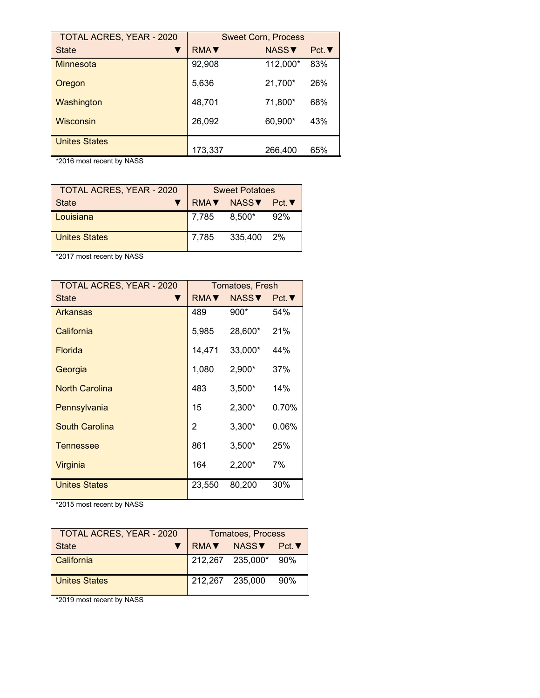| <b>TOTAL ACRES, YEAR - 2020</b> | <b>Sweet Corn, Process</b> |              |              |
|---------------------------------|----------------------------|--------------|--------------|
| <b>State</b>                    | <b>RMAV</b>                | <b>NASS▼</b> | $Pct.\nabla$ |
| Minnesota                       | 92,908                     | 112,000*     | 83%          |
| Oregon                          | 5.636                      | 21,700*      | 26%          |
| Washington                      | 48,701                     | 71,800*      | 68%          |
| <b>Wisconsin</b>                | 26,092                     | 60,900*      | 43%          |
| <b>Unites States</b>            | 173,337                    | 266,400      | 65%          |

| <b>TOTAL ACRES, YEAR - 2020</b> | <b>Sweet Potatoes</b> |                  |     |
|---------------------------------|-----------------------|------------------|-----|
| <b>State</b>                    |                       | RMA▼ NASS▼ Pct.▼ |     |
| Louisiana                       | 7,785                 | $8.500*$         | 92% |
| <b>Unites States</b>            | 7,785                 | 335,400 2%       |     |

\*2017 most recent by NASS

| TOTAL ACRES, YEAR - 2020 | Tomatoes, Fresh |               |              |
|--------------------------|-----------------|---------------|--------------|
| <b>State</b><br>▼        | RMA <b>V</b>    | NASS <b>V</b> | $Pct.\nabla$ |
| Arkansas                 | 489             | $900*$        | 54%          |
| California               | 5,985           | 28,600*       | 21%          |
| <b>Florida</b>           | 14,471          | 33,000*       | 44%          |
| Georgia                  | 1,080           | $2,900*$      | 37%          |
| <b>North Carolina</b>    | 483             | $3,500*$      | 14%          |
| Pennsylvania             | 15              | $2,300*$      | 0.70%        |
| <b>South Carolina</b>    | 2               | $3,300*$      | 0.06%        |
| <b>Tennessee</b>         | 861             | $3,500*$      | 25%          |
| Virginia                 | 164             | $2,200*$      | 7%           |
| <b>Unites States</b>     | 23,550          | 80,200        | 30%          |

\*2015 most recent by NASS

| <b>TOTAL ACRES, YEAR - 2020</b><br><b>Tomatoes, Process</b> |                 |                  |              |
|-------------------------------------------------------------|-----------------|------------------|--------------|
| State                                                       | RMA▼ NASS▼      |                  | $Pct.\nabla$ |
| l California                                                |                 | 212,267 235,000* | 90%          |
| Unites States                                               | 212.267 235.000 |                  | 90%          |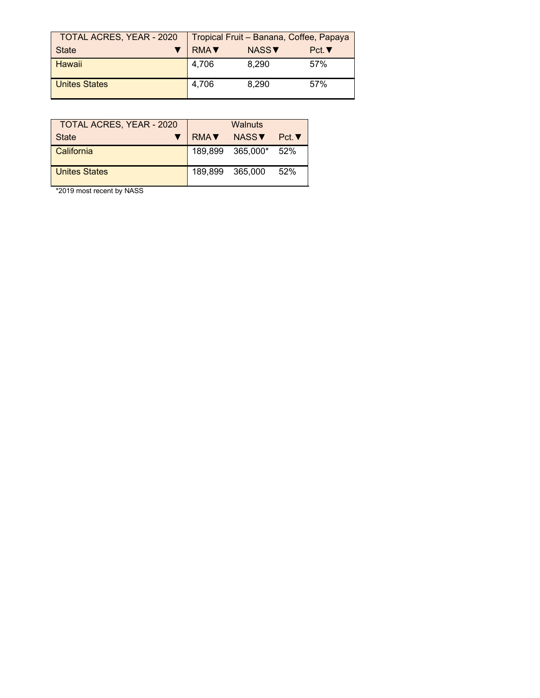| <b>TOTAL ACRES, YEAR - 2020</b> | Tropical Fruit - Banana, Coffee, Papaya |                   |      |
|---------------------------------|-----------------------------------------|-------------------|------|
| <b>State</b>                    | <b>RMA</b> ▼                            | NASS <sup>V</sup> | Pct. |
| <b>Hawaii</b>                   | 4,706                                   | 8.290             | 57%  |
| <b>Unites States</b>            | 4,706                                   | 8,290             | 57%  |

| <b>TOTAL ACRES, YEAR - 2020</b> | Walnuts     |                      |      |
|---------------------------------|-------------|----------------------|------|
| <b>State</b>                    | <b>RMA▼</b> | NASS <b>▼</b>        | Pct. |
| California                      |             | 189,899 365,000* 52% |      |
| <b>Unites States</b>            | 189.899     | 365.000              | 52%  |